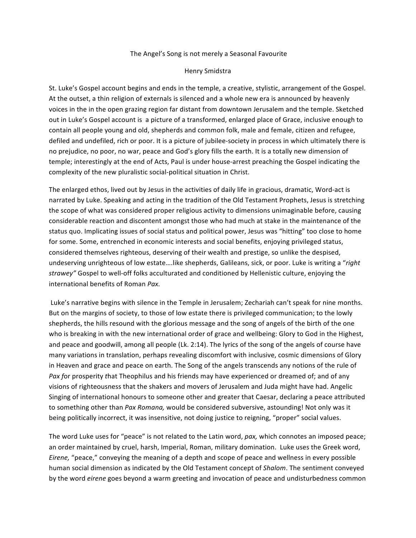## The Angel's Song is not merely a Seasonal Favourite

## Henry Smidstra

St. Luke's Gospel account begins and ends in the temple, a creative, stylistic, arrangement of the Gospel. At the outset, a thin religion of externals is silenced and a whole new era is announced by heavenly voices in the in the open grazing region far distant from downtown Jerusalem and the temple. Sketched out in Luke's Gospel account is a picture of a transformed, enlarged place of Grace, inclusive enough to contain all people young and old, shepherds and common folk, male and female, citizen and refugee, defiled and undefiled, rich or poor. It is a picture of jubilee-society in process in which ultimately there is no prejudice, no poor, no war, peace and God's glory fills the earth. It is a totally new dimension of temple; interestingly at the end of Acts, Paul is under house-arrest preaching the Gospel indicating the complexity of the new pluralistic social-political situation in Christ.

The enlarged ethos, lived out by Jesus in the activities of daily life in gracious, dramatic, Word-act is narrated by Luke. Speaking and acting in the tradition of the Old Testament Prophets, Jesus is stretching the scope of what was considered proper religious activity to dimensions unimaginable before, causing considerable reaction and discontent amongst those who had much at stake in the maintenance of the status quo. Implicating issues of social status and political power, Jesus was "hitting" too close to home for some. Some, entrenched in economic interests and social benefits, enjoying privileged status, considered themselves righteous, deserving of their wealth and prestige, so unlike the despised, undeserving unrighteous of low estate....like shepherds, Galileans, sick, or poor. Luke is writing a "right strawey" Gospel to well-off folks acculturated and conditioned by Hellenistic culture, enjoying the international benefits of Roman *Pax.*

Luke's narrative begins with silence in the Temple in Jerusalem; Zechariah can't speak for nine months. But on the margins of society, to those of low estate there is privileged communication; to the lowly shepherds, the hills resound with the glorious message and the song of angels of the birth of the one who is breaking in with the new international order of grace and wellbeing: Glory to God in the Highest, and peace and goodwill, among all people (Lk. 2:14). The lyrics of the song of the angels of course have many variations in translation, perhaps revealing discomfort with inclusive, cosmic dimensions of Glory in Heaven and grace and peace on earth. The Song of the angels transcends any notions of the rule of *Pax* for prosperity *that* Theophilus and his friends may have experienced or dreamed of; and of any visions of righteousness that the shakers and movers of Jerusalem and Juda might have had. Angelic Singing of international honours to someone other and greater that Caesar, declaring a peace attributed to something other than *Pax Romana*, would be considered subversive, astounding! Not only was it being politically incorrect, it was insensitive, not doing justice to reigning, "proper" social values.

The word Luke uses for "peace" is not related to the Latin word, pax, which connotes an imposed peace; an order maintained by cruel, harsh, Imperial, Roman, military domination. Luke uses the Greek word, *Eirene,* "peace," conveying the meaning of a depth and scope of peace and wellness in every possible human social dimension as indicated by the Old Testament concept of *Shalom*. The sentiment conveyed by the word *eirene* goes beyond a warm greeting and invocation of peace and undisturbedness common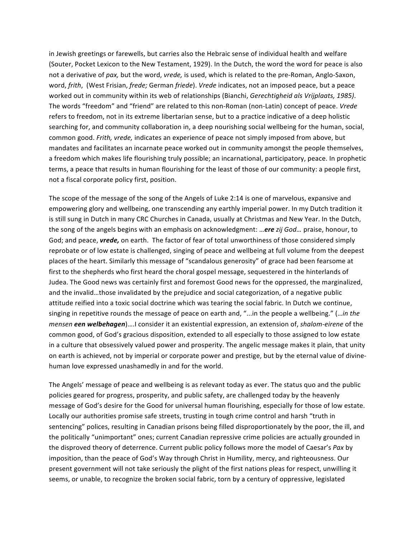in Jewish greetings or farewells, but carries also the Hebraic sense of individual health and welfare (Souter, Pocket Lexicon to the New Testament, 1929). In the Dutch, the word the word for peace is also not a derivative of pax, but the word, *vrede*, is used, which is related to the pre-Roman, Anglo-Saxon, word, *frith*, (West Frisian, *frede;* German *friede*). *Vrede* indicates, not an imposed peace, but a peace worked out in community within its web of relationships (Bianchi, *Gerechtigheid als Vrijplaats, 1985*). The words "freedom" and "friend" are related to this non-Roman (non-Latin) concept of peace. *Vrede* refers to freedom, not in its extreme libertarian sense, but to a practice indicative of a deep holistic searching for, and community collaboration in, a deep nourishing social wellbeing for the human, social, common good. Frith, vrede, indicates an experience of peace not simply imposed from above, but mandates and facilitates an incarnate peace worked out in community amongst the people themselves, a freedom which makes life flourishing truly possible; an incarnational, participatory, peace. In prophetic terms, a peace that results in human flourishing for the least of those of our community: a people first, not a fiscal corporate policy first, position.

The scope of the message of the song of the Angels of Luke 2:14 is one of marvelous, expansive and empowering glory and wellbeing, one transcending any earthly imperial power. In my Dutch tradition it is still sung in Dutch in many CRC Churches in Canada, usually at Christmas and New Year. In the Dutch, the song of the angels begins with an emphasis on acknowledgment: ... *ere zij God...* praise, honour, to God; and peace, *vrede*, on earth. The factor of fear of total unworthiness of those considered simply reprobate or of low estate is challenged, singing of peace and wellbeing at full volume from the deepest places of the heart. Similarly this message of "scandalous generosity" of grace had been fearsome at first to the shepherds who first heard the choral gospel message, sequestered in the hinterlands of Judea. The Good news was certainly first and foremost Good news for the oppressed, the marginalized, and the invalid…those invalidated by the prejudice and social categorization, of a negative public attitude reified into a toxic social doctrine which was tearing the social fabric. In Dutch we continue, singing in repetitive rounds the message of peace on earth and, "...in the people a wellbeing." (...in the *mensen* **een welbehagen**)....I consider it an existential expression, an extension of, *shalom-eirene* of the common good, of God's gracious disposition, extended to all especially to those assigned to low estate in a culture that obsessively valued power and prosperity. The angelic message makes it plain, that unity on earth is achieved, not by imperial or corporate power and prestige, but by the eternal value of divinehuman love expressed unashamedly in and for the world.

The Angels' message of peace and wellbeing is as relevant today as ever. The status quo and the public policies geared for progress, prosperity, and public safety, are challenged today by the heavenly message of God's desire for the Good for universal human flourishing, especially for those of low estate. Locally our authorities promise safe streets, trusting in tough crime control and harsh "truth in sentencing" polices, resulting in Canadian prisons being filled disproportionately by the poor, the ill, and the politically "unimportant" ones; current Canadian repressive crime policies are actually grounded in the disproved theory of deterrence. Current public policy follows more the model of Caesar's Pax by imposition, than the peace of God's Way through Christ in Humility, mercy, and righteousness. Our present government will not take seriously the plight of the first nations pleas for respect, unwilling it seems, or unable, to recognize the broken social fabric, torn by a century of oppressive, legislated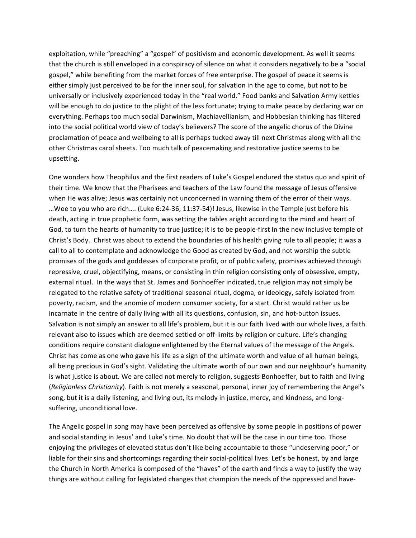exploitation, while "preaching" a "gospel" of positivism and economic development. As well it seems that the church is still enveloped in a conspiracy of silence on what it considers negatively to be a "social gospel," while benefiting from the market forces of free enterprise. The gospel of peace it seems is either simply just perceived to be for the inner soul, for salvation in the age to come, but not to be universally or inclusively experienced today in the "real world." Food banks and Salvation Army kettles will be enough to do justice to the plight of the less fortunate; trying to make peace by declaring war on everything. Perhaps too much social Darwinism, Machiavellianism, and Hobbesian thinking has filtered into the social political world view of today's believers? The score of the angelic chorus of the Divine proclamation of peace and wellbeing to all is perhaps tucked away till next Christmas along with all the other Christmas carol sheets. Too much talk of peacemaking and restorative justice seems to be upsetting. 

One wonders how Theophilus and the first readers of Luke's Gospel endured the status quo and spirit of their time. We know that the Pharisees and teachers of the Law found the message of Jesus offensive when He was alive; Jesus was certainly not unconcerned in warning them of the error of their ways. ...Woe to you who are rich.... (Luke 6:24-36; 11:37-54)! Jesus, likewise in the Temple just before his death, acting in true prophetic form, was setting the tables aright according to the mind and heart of God, to turn the hearts of humanity to true justice; it is to be people-first In the new inclusive temple of Christ's Body. Christ was about to extend the boundaries of his health giving rule to all people; it was a call to all to contemplate and acknowledge the Good as created by God, and not worship the subtle promises of the gods and goddesses of corporate profit, or of public safety, promises achieved through repressive, cruel, objectifying, means, or consisting in thin religion consisting only of obsessive, empty, external ritual. In the ways that St. James and Bonhoeffer indicated, true religion may not simply be relegated to the relative safety of traditional seasonal ritual, dogma, or ideology, safely isolated from poverty, racism, and the anomie of modern consumer society, for a start. Christ would rather us be incarnate in the centre of daily living with all its questions, confusion, sin, and hot-button issues. Salvation is not simply an answer to all life's problem, but it is our faith lived with our whole lives, a faith relevant also to issues which are deemed settled or off-limits by religion or culture. Life's changing conditions require constant dialogue enlightened by the Eternal values of the message of the Angels. Christ has come as one who gave his life as a sign of the ultimate worth and value of all human beings, all being precious in God's sight. Validating the ultimate worth of our own and our neighbour's humanity is what justice is about. We are called not merely to religion, suggests Bonhoeffer, but to faith and living (*Religionless Christianity*). Faith is not merely a seasonal, personal, inner joy of remembering the Angel's song, but it is a daily listening, and living out, its melody in justice, mercy, and kindness, and longsuffering, unconditional love.

The Angelic gospel in song may have been perceived as offensive by some people in positions of power and social standing in Jesus' and Luke's time. No doubt that will be the case in our time too. Those enjoying the privileges of elevated status don't like being accountable to those "undeserving poor," or liable for their sins and shortcomings regarding their social-political lives. Let's be honest, by and large the Church in North America is composed of the "haves" of the earth and finds a way to justify the way things are without calling for legislated changes that champion the needs of the oppressed and have-